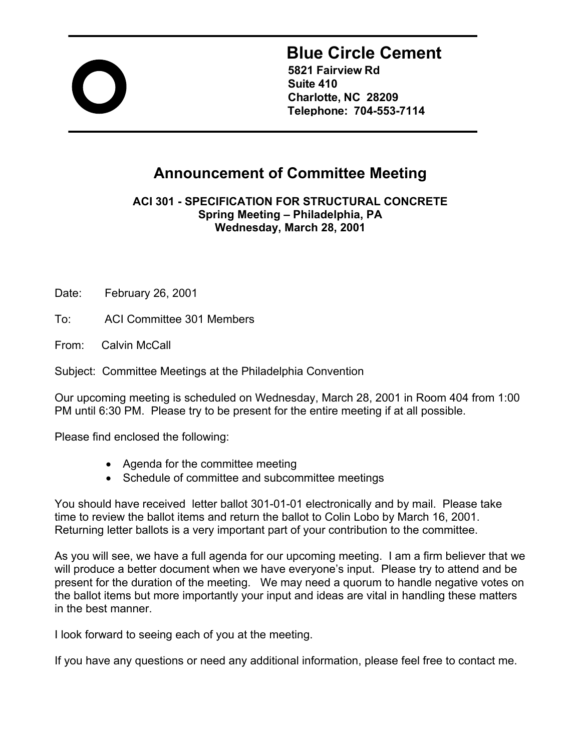

# **Blue Circle Cement**

**5821 Fairview Rd Suite 410 Charlotte, NC 28209 Telephone: 704-553-7114** 

## **Announcement of Committee Meeting**

**ACI 301 - SPECIFICATION FOR STRUCTURAL CONCRETE Spring Meeting – Philadelphia, PA Wednesday, March 28, 2001**

Date: February 26, 2001

To: ACI Committee 301 Members

From: Calvin McCall

Subject: Committee Meetings at the Philadelphia Convention

Our upcoming meeting is scheduled on Wednesday, March 28, 2001 in Room 404 from 1:00 PM until 6:30 PM. Please try to be present for the entire meeting if at all possible.

Please find enclosed the following:

- Agenda for the committee meeting
- Schedule of committee and subcommittee meetings

You should have received letter ballot 301-01-01 electronically and by mail. Please take time to review the ballot items and return the ballot to Colin Lobo by March 16, 2001. Returning letter ballots is a very important part of your contribution to the committee.

As you will see, we have a full agenda for our upcoming meeting. I am a firm believer that we will produce a better document when we have everyone's input. Please try to attend and be present for the duration of the meeting. We may need a quorum to handle negative votes on the ballot items but more importantly your input and ideas are vital in handling these matters in the best manner.

I look forward to seeing each of you at the meeting.

If you have any questions or need any additional information, please feel free to contact me.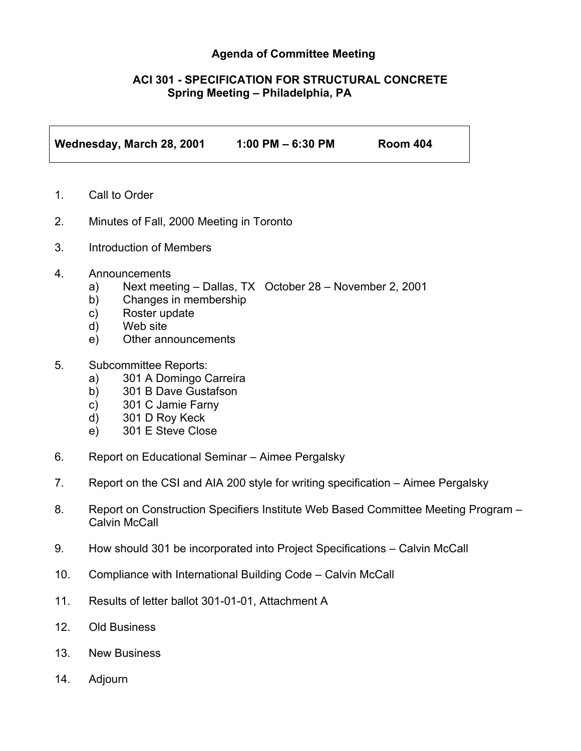#### **Agenda of Committee Meeting**

#### **ACI 301 - SPECIFICATION FOR STRUCTURAL CONCRETE Spring Meeting – Philadelphia, PA**

**Wednesday, March 28, 2001 1:00 PM – 6:30 PM Room 404** 

- 1. Call to Order
- 2. Minutes of Fall, 2000 Meeting in Toronto
- 3. Introduction of Members
- 4. Announcements
	- a) Next meeting Dallas, TX October 28 November 2, 2001
	- b) Changes in membership
	- c) Roster update
	- d) Web site
	- e) Other announcements
- 5. Subcommittee Reports:
	- a) 301 A Domingo Carreira
	- b) 301 B Dave Gustafson
	- c) 301 C Jamie Farny
	- d) 301 D Roy Keck
	- e) 301 E Steve Close
- 6. Report on Educational Seminar Aimee Pergalsky
- 7. Report on the CSI and AIA 200 style for writing specification Aimee Pergalsky
- 8. Report on Construction Specifiers Institute Web Based Committee Meeting Program Calvin McCall
- 9. How should 301 be incorporated into Project Specifications Calvin McCall
- 10. Compliance with International Building Code Calvin McCall
- 11. Results of letter ballot 301-01-01, Attachment A
- 12. Old Business
- 13. New Business
- 14. Adjourn